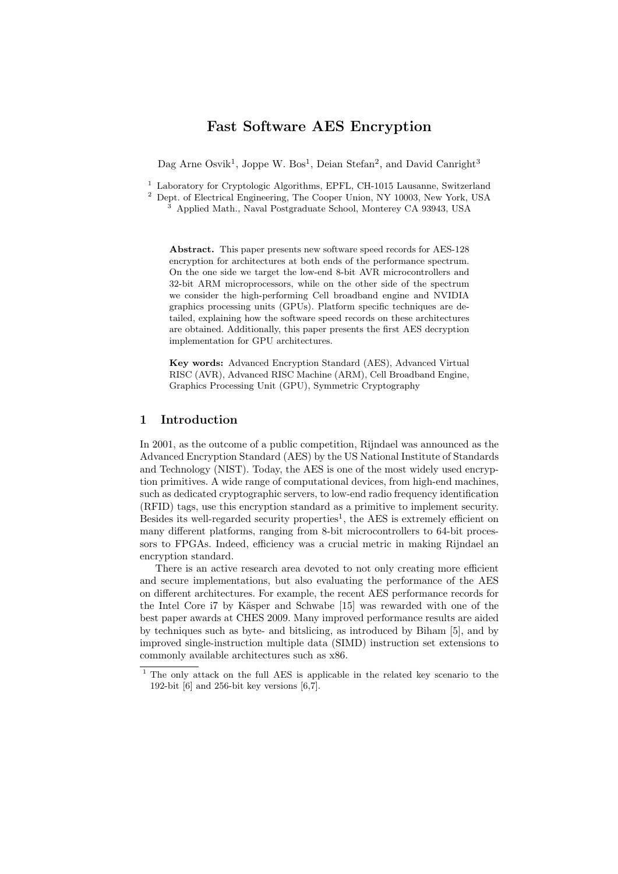# Fast Software AES Encryption

Dag Arne Osvik<sup>1</sup>, Joppe W. Bos<sup>1</sup>, Deian Stefan<sup>2</sup>, and David Canright<sup>3</sup>

<sup>1</sup> Laboratory for Cryptologic Algorithms, EPFL, CH-1015 Lausanne, Switzerland

<sup>2</sup> Dept. of Electrical Engineering, The Cooper Union, NY 10003, New York, USA

<sup>3</sup> Applied Math., Naval Postgraduate School, Monterey CA 93943, USA

Abstract. This paper presents new software speed records for AES-128 encryption for architectures at both ends of the performance spectrum. On the one side we target the low-end 8-bit AVR microcontrollers and 32-bit ARM microprocessors, while on the other side of the spectrum we consider the high-performing Cell broadband engine and NVIDIA graphics processing units (GPUs). Platform specific techniques are detailed, explaining how the software speed records on these architectures are obtained. Additionally, this paper presents the first AES decryption implementation for GPU architectures.

Key words: Advanced Encryption Standard (AES), Advanced Virtual RISC (AVR), Advanced RISC Machine (ARM), Cell Broadband Engine, Graphics Processing Unit (GPU), Symmetric Cryptography

#### 1 Introduction

In 2001, as the outcome of a public competition, Rijndael was announced as the Advanced Encryption Standard (AES) by the US National Institute of Standards and Technology (NIST). Today, the AES is one of the most widely used encryption primitives. A wide range of computational devices, from high-end machines, such as dedicated cryptographic servers, to low-end radio frequency identification (RFID) tags, use this encryption standard as a primitive to implement security. Besides its well-regarded security properties<sup>1</sup>, the AES is extremely efficient on many different platforms, ranging from 8-bit microcontrollers to 64-bit processors to FPGAs. Indeed, efficiency was a crucial metric in making Rijndael an encryption standard.

There is an active research area devoted to not only creating more efficient and secure implementations, but also evaluating the performance of the AES on different architectures. For example, the recent AES performance records for the Intel Core i7 by Käsper and Schwabe [15] was rewarded with one of the best paper awards at CHES 2009. Many improved performance results are aided by techniques such as byte- and bitslicing, as introduced by Biham [5], and by improved single-instruction multiple data (SIMD) instruction set extensions to commonly available architectures such as x86.

<sup>&</sup>lt;sup>1</sup> The only attack on the full AES is applicable in the related key scenario to the 192-bit [6] and 256-bit key versions [6,7].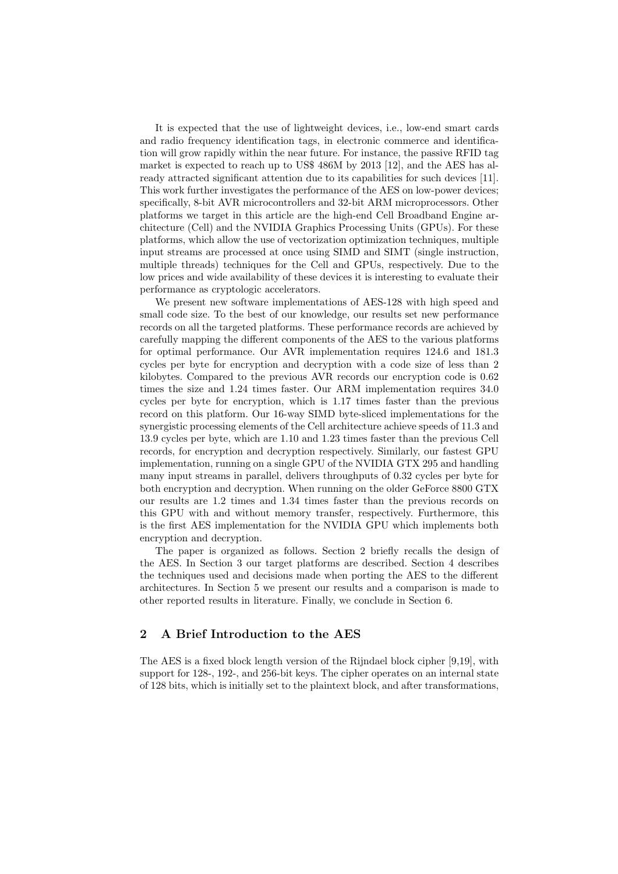It is expected that the use of lightweight devices, i.e., low-end smart cards and radio frequency identification tags, in electronic commerce and identification will grow rapidly within the near future. For instance, the passive RFID tag market is expected to reach up to US\$ 486M by 2013 [12], and the AES has already attracted significant attention due to its capabilities for such devices [11]. This work further investigates the performance of the AES on low-power devices; specifically, 8-bit AVR microcontrollers and 32-bit ARM microprocessors. Other platforms we target in this article are the high-end Cell Broadband Engine architecture (Cell) and the NVIDIA Graphics Processing Units (GPUs). For these platforms, which allow the use of vectorization optimization techniques, multiple input streams are processed at once using SIMD and SIMT (single instruction, multiple threads) techniques for the Cell and GPUs, respectively. Due to the low prices and wide availability of these devices it is interesting to evaluate their performance as cryptologic accelerators.

We present new software implementations of AES-128 with high speed and small code size. To the best of our knowledge, our results set new performance records on all the targeted platforms. These performance records are achieved by carefully mapping the different components of the AES to the various platforms for optimal performance. Our AVR implementation requires 124.6 and 181.3 cycles per byte for encryption and decryption with a code size of less than 2 kilobytes. Compared to the previous AVR records our encryption code is 0.62 times the size and 1.24 times faster. Our ARM implementation requires 34.0 cycles per byte for encryption, which is 1.17 times faster than the previous record on this platform. Our 16-way SIMD byte-sliced implementations for the synergistic processing elements of the Cell architecture achieve speeds of 11.3 and 13.9 cycles per byte, which are 1.10 and 1.23 times faster than the previous Cell records, for encryption and decryption respectively. Similarly, our fastest GPU implementation, running on a single GPU of the NVIDIA GTX 295 and handling many input streams in parallel, delivers throughputs of 0.32 cycles per byte for both encryption and decryption. When running on the older GeForce 8800 GTX our results are 1.2 times and 1.34 times faster than the previous records on this GPU with and without memory transfer, respectively. Furthermore, this is the first AES implementation for the NVIDIA GPU which implements both encryption and decryption.

The paper is organized as follows. Section 2 briefly recalls the design of the AES. In Section 3 our target platforms are described. Section 4 describes the techniques used and decisions made when porting the AES to the different architectures. In Section 5 we present our results and a comparison is made to other reported results in literature. Finally, we conclude in Section 6.

## 2 A Brief Introduction to the AES

The AES is a fixed block length version of the Rijndael block cipher [9,19], with support for 128-, 192-, and 256-bit keys. The cipher operates on an internal state of 128 bits, which is initially set to the plaintext block, and after transformations,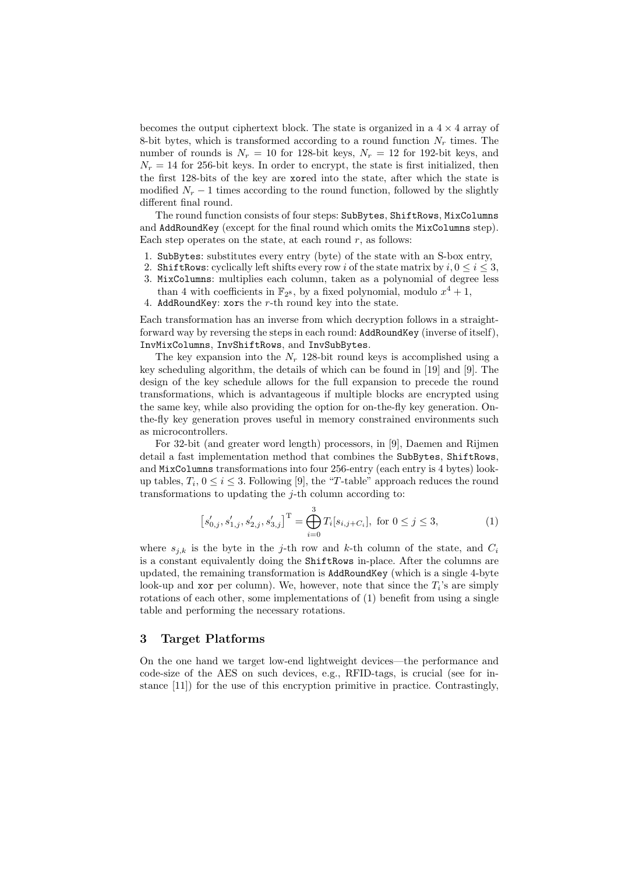becomes the output ciphertext block. The state is organized in a  $4 \times 4$  array of 8-bit bytes, which is transformed according to a round function  $N_r$  times. The number of rounds is  $N_r = 10$  for 128-bit keys,  $N_r = 12$  for 192-bit keys, and  $N_r = 14$  for 256-bit keys. In order to encrypt, the state is first initialized, then the first 128-bits of the key are xored into the state, after which the state is modified  $N_r - 1$  times according to the round function, followed by the slightly different final round.

The round function consists of four steps: SubBytes, ShiftRows, MixColumns and AddRoundKey (except for the final round which omits the MixColumns step). Each step operates on the state, at each round  $r$ , as follows:

- 1. SubBytes: substitutes every entry (byte) of the state with an S-box entry,
- 2. ShiftRows: cyclically left shifts every row i of the state matrix by  $i, 0 \leq i \leq 3$ ,
- 3. MixColumns: multiplies each column, taken as a polynomial of degree less than 4 with coefficients in  $\mathbb{F}_{2^8}$ , by a fixed polynomial, modulo  $x^4 + 1$ ,
- 4. AddRoundKey: xors the r-th round key into the state.

Each transformation has an inverse from which decryption follows in a straightforward way by reversing the steps in each round: AddRoundKey (inverse of itself), InvMixColumns, InvShiftRows, and InvSubBytes.

The key expansion into the  $N_r$  128-bit round keys is accomplished using a key scheduling algorithm, the details of which can be found in [19] and [9]. The design of the key schedule allows for the full expansion to precede the round transformations, which is advantageous if multiple blocks are encrypted using the same key, while also providing the option for on-the-fly key generation. Onthe-fly key generation proves useful in memory constrained environments such as microcontrollers.

For 32-bit (and greater word length) processors, in [9], Daemen and Rijmen detail a fast implementation method that combines the SubBytes, ShiftRows, and MixColumns transformations into four 256-entry (each entry is 4 bytes) lookup tables,  $T_i$ ,  $0 \le i \le 3$ . Following [9], the "T-table" approach reduces the round transformations to updating the  $j$ -th column according to:

$$
\left[s'_{0,j}, s'_{1,j}, s'_{2,j}, s'_{3,j}\right]^{\mathrm{T}} = \bigoplus_{i=0}^{3} T_i[s_{i,j} + c_i], \text{ for } 0 \le j \le 3,
$$
 (1)

where  $s_{i,k}$  is the byte in the j-th row and k-th column of the state, and  $C_i$ is a constant equivalently doing the ShiftRows in-place. After the columns are updated, the remaining transformation is AddRoundKey (which is a single 4-byte look-up and **xor** per column). We, however, note that since the  $T_i$ 's are simply rotations of each other, some implementations of (1) benefit from using a single table and performing the necessary rotations.

#### 3 Target Platforms

On the one hand we target low-end lightweight devices—the performance and code-size of the AES on such devices, e.g., RFID-tags, is crucial (see for instance [11]) for the use of this encryption primitive in practice. Contrastingly,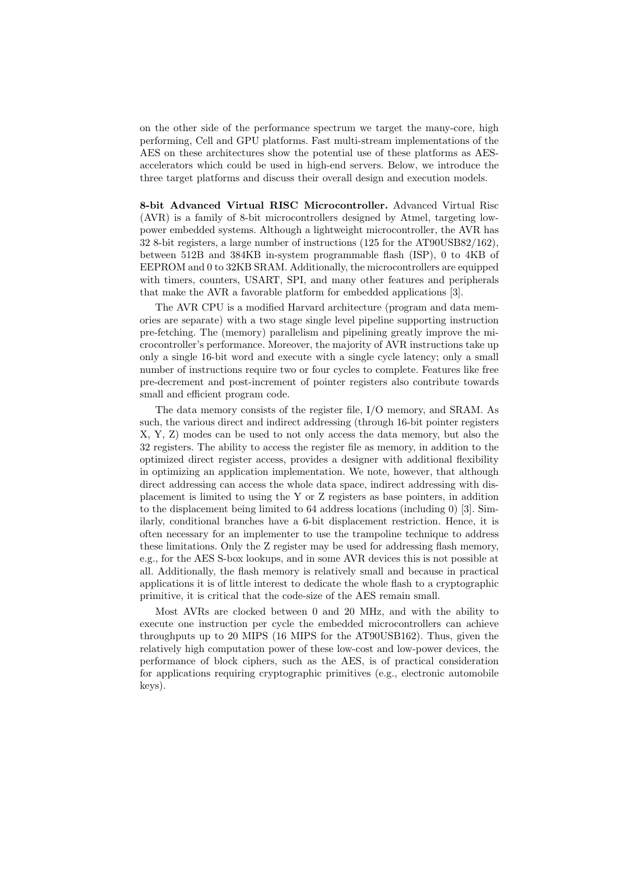on the other side of the performance spectrum we target the many-core, high performing, Cell and GPU platforms. Fast multi-stream implementations of the AES on these architectures show the potential use of these platforms as AESaccelerators which could be used in high-end servers. Below, we introduce the three target platforms and discuss their overall design and execution models.

8-bit Advanced Virtual RISC Microcontroller. Advanced Virtual Risc (AVR) is a family of 8-bit microcontrollers designed by Atmel, targeting lowpower embedded systems. Although a lightweight microcontroller, the AVR has 32 8-bit registers, a large number of instructions (125 for the AT90USB82/162), between 512B and 384KB in-system programmable flash (ISP), 0 to 4KB of EEPROM and 0 to 32KB SRAM. Additionally, the microcontrollers are equipped with timers, counters, USART, SPI, and many other features and peripherals that make the AVR a favorable platform for embedded applications [3].

The AVR CPU is a modified Harvard architecture (program and data memories are separate) with a two stage single level pipeline supporting instruction pre-fetching. The (memory) parallelism and pipelining greatly improve the microcontroller's performance. Moreover, the majority of AVR instructions take up only a single 16-bit word and execute with a single cycle latency; only a small number of instructions require two or four cycles to complete. Features like free pre-decrement and post-increment of pointer registers also contribute towards small and efficient program code.

The data memory consists of the register file, I/O memory, and SRAM. As such, the various direct and indirect addressing (through 16-bit pointer registers X, Y, Z) modes can be used to not only access the data memory, but also the 32 registers. The ability to access the register file as memory, in addition to the optimized direct register access, provides a designer with additional flexibility in optimizing an application implementation. We note, however, that although direct addressing can access the whole data space, indirect addressing with displacement is limited to using the Y or Z registers as base pointers, in addition to the displacement being limited to 64 address locations (including 0) [3]. Similarly, conditional branches have a 6-bit displacement restriction. Hence, it is often necessary for an implementer to use the trampoline technique to address these limitations. Only the Z register may be used for addressing flash memory, e.g., for the AES S-box lookups, and in some AVR devices this is not possible at all. Additionally, the flash memory is relatively small and because in practical applications it is of little interest to dedicate the whole flash to a cryptographic primitive, it is critical that the code-size of the AES remain small.

Most AVRs are clocked between 0 and 20 MHz, and with the ability to execute one instruction per cycle the embedded microcontrollers can achieve throughputs up to 20 MIPS (16 MIPS for the AT90USB162). Thus, given the relatively high computation power of these low-cost and low-power devices, the performance of block ciphers, such as the AES, is of practical consideration for applications requiring cryptographic primitives (e.g., electronic automobile keys).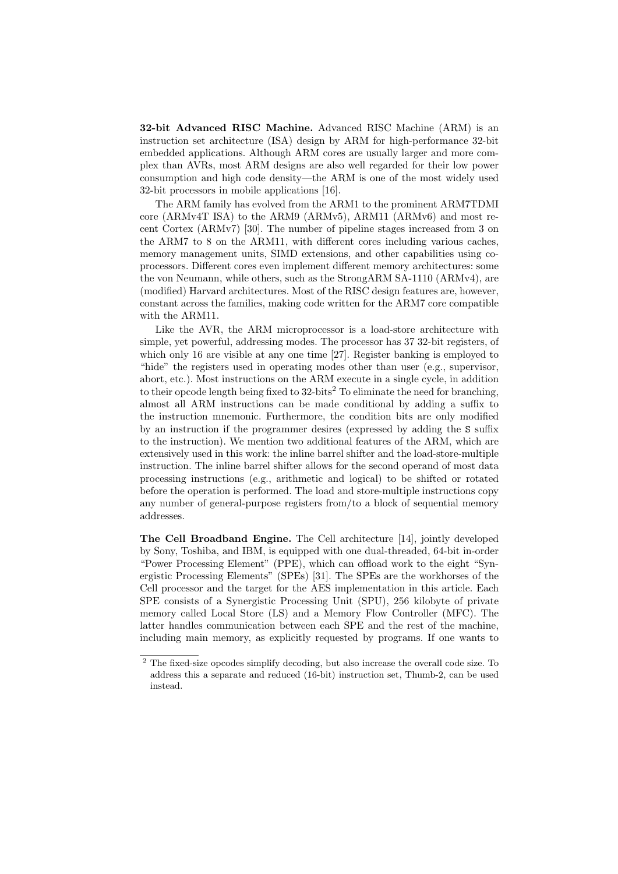32-bit Advanced RISC Machine. Advanced RISC Machine (ARM) is an instruction set architecture (ISA) design by ARM for high-performance 32-bit embedded applications. Although ARM cores are usually larger and more complex than AVRs, most ARM designs are also well regarded for their low power consumption and high code density—the ARM is one of the most widely used 32-bit processors in mobile applications [16].

The ARM family has evolved from the ARM1 to the prominent ARM7TDMI core (ARMv4T ISA) to the ARM9 (ARMv5), ARM11 (ARMv6) and most recent Cortex (ARMv7) [30]. The number of pipeline stages increased from 3 on the ARM7 to 8 on the ARM11, with different cores including various caches, memory management units, SIMD extensions, and other capabilities using coprocessors. Different cores even implement different memory architectures: some the von Neumann, while others, such as the StrongARM SA-1110 (ARMv4), are (modified) Harvard architectures. Most of the RISC design features are, however, constant across the families, making code written for the ARM7 core compatible with the ARM11.

Like the AVR, the ARM microprocessor is a load-store architecture with simple, yet powerful, addressing modes. The processor has 37 32-bit registers, of which only 16 are visible at any one time [27]. Register banking is employed to "hide" the registers used in operating modes other than user (e.g., supervisor, abort, etc.). Most instructions on the ARM execute in a single cycle, in addition to their opcode length being fixed to  $32$ -bits<sup>2</sup> To eliminate the need for branching, almost all ARM instructions can be made conditional by adding a suffix to the instruction mnemonic. Furthermore, the condition bits are only modified by an instruction if the programmer desires (expressed by adding the S suffix to the instruction). We mention two additional features of the ARM, which are extensively used in this work: the inline barrel shifter and the load-store-multiple instruction. The inline barrel shifter allows for the second operand of most data processing instructions (e.g., arithmetic and logical) to be shifted or rotated before the operation is performed. The load and store-multiple instructions copy any number of general-purpose registers from/to a block of sequential memory addresses.

The Cell Broadband Engine. The Cell architecture [14], jointly developed by Sony, Toshiba, and IBM, is equipped with one dual-threaded, 64-bit in-order "Power Processing Element" (PPE), which can offload work to the eight "Synergistic Processing Elements" (SPEs) [31]. The SPEs are the workhorses of the Cell processor and the target for the AES implementation in this article. Each SPE consists of a Synergistic Processing Unit (SPU), 256 kilobyte of private memory called Local Store (LS) and a Memory Flow Controller (MFC). The latter handles communication between each SPE and the rest of the machine, including main memory, as explicitly requested by programs. If one wants to

<sup>2</sup> The fixed-size opcodes simplify decoding, but also increase the overall code size. To address this a separate and reduced (16-bit) instruction set, Thumb-2, can be used instead.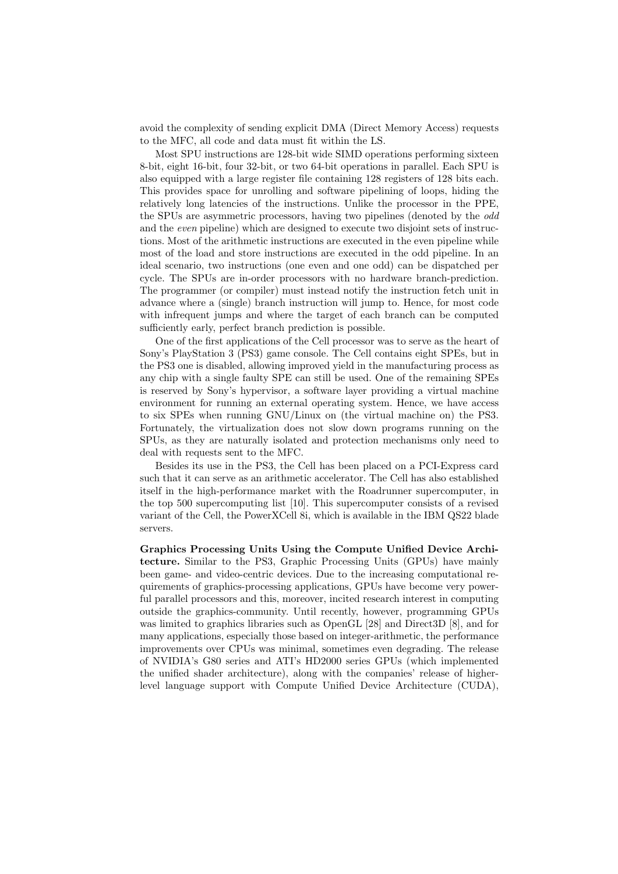avoid the complexity of sending explicit DMA (Direct Memory Access) requests to the MFC, all code and data must fit within the LS.

Most SPU instructions are 128-bit wide SIMD operations performing sixteen 8-bit, eight 16-bit, four 32-bit, or two 64-bit operations in parallel. Each SPU is also equipped with a large register file containing 128 registers of 128 bits each. This provides space for unrolling and software pipelining of loops, hiding the relatively long latencies of the instructions. Unlike the processor in the PPE, the SPUs are asymmetric processors, having two pipelines (denoted by the odd and the even pipeline) which are designed to execute two disjoint sets of instructions. Most of the arithmetic instructions are executed in the even pipeline while most of the load and store instructions are executed in the odd pipeline. In an ideal scenario, two instructions (one even and one odd) can be dispatched per cycle. The SPUs are in-order processors with no hardware branch-prediction. The programmer (or compiler) must instead notify the instruction fetch unit in advance where a (single) branch instruction will jump to. Hence, for most code with infrequent jumps and where the target of each branch can be computed sufficiently early, perfect branch prediction is possible.

One of the first applications of the Cell processor was to serve as the heart of Sony's PlayStation 3 (PS3) game console. The Cell contains eight SPEs, but in the PS3 one is disabled, allowing improved yield in the manufacturing process as any chip with a single faulty SPE can still be used. One of the remaining SPEs is reserved by Sony's hypervisor, a software layer providing a virtual machine environment for running an external operating system. Hence, we have access to six SPEs when running GNU/Linux on (the virtual machine on) the PS3. Fortunately, the virtualization does not slow down programs running on the SPUs, as they are naturally isolated and protection mechanisms only need to deal with requests sent to the MFC.

Besides its use in the PS3, the Cell has been placed on a PCI-Express card such that it can serve as an arithmetic accelerator. The Cell has also established itself in the high-performance market with the Roadrunner supercomputer, in the top 500 supercomputing list [10]. This supercomputer consists of a revised variant of the Cell, the PowerXCell 8i, which is available in the IBM QS22 blade servers.

Graphics Processing Units Using the Compute Unified Device Architecture. Similar to the PS3, Graphic Processing Units (GPUs) have mainly been game- and video-centric devices. Due to the increasing computational requirements of graphics-processing applications, GPUs have become very powerful parallel processors and this, moreover, incited research interest in computing outside the graphics-community. Until recently, however, programming GPUs was limited to graphics libraries such as OpenGL [28] and Direct3D [8], and for many applications, especially those based on integer-arithmetic, the performance improvements over CPUs was minimal, sometimes even degrading. The release of NVIDIA's G80 series and ATI's HD2000 series GPUs (which implemented the unified shader architecture), along with the companies' release of higherlevel language support with Compute Unified Device Architecture (CUDA),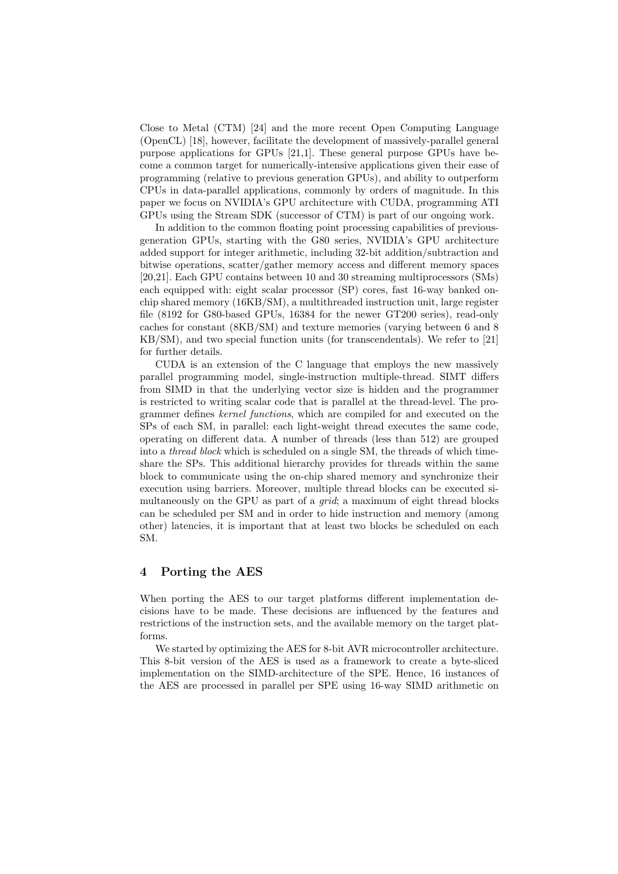Close to Metal (CTM) [24] and the more recent Open Computing Language (OpenCL) [18], however, facilitate the development of massively-parallel general purpose applications for GPUs [21,1]. These general purpose GPUs have become a common target for numerically-intensive applications given their ease of programming (relative to previous generation GPUs), and ability to outperform CPUs in data-parallel applications, commonly by orders of magnitude. In this paper we focus on NVIDIA's GPU architecture with CUDA, programming ATI GPUs using the Stream SDK (successor of CTM) is part of our ongoing work.

In addition to the common floating point processing capabilities of previousgeneration GPUs, starting with the G80 series, NVIDIA's GPU architecture added support for integer arithmetic, including 32-bit addition/subtraction and bitwise operations, scatter/gather memory access and different memory spaces [20,21]. Each GPU contains between 10 and 30 streaming multiprocessors (SMs) each equipped with: eight scalar processor (SP) cores, fast 16-way banked onchip shared memory (16KB/SM), a multithreaded instruction unit, large register file (8192 for G80-based GPUs, 16384 for the newer GT200 series), read-only caches for constant (8KB/SM) and texture memories (varying between 6 and 8 KB/SM), and two special function units (for transcendentals). We refer to [21] for further details.

CUDA is an extension of the C language that employs the new massively parallel programming model, single-instruction multiple-thread. SIMT differs from SIMD in that the underlying vector size is hidden and the programmer is restricted to writing scalar code that is parallel at the thread-level. The programmer defines kernel functions, which are compiled for and executed on the SPs of each SM, in parallel: each light-weight thread executes the same code, operating on different data. A number of threads (less than 512) are grouped into a thread block which is scheduled on a single SM, the threads of which timeshare the SPs. This additional hierarchy provides for threads within the same block to communicate using the on-chip shared memory and synchronize their execution using barriers. Moreover, multiple thread blocks can be executed simultaneously on the GPU as part of a *grid*; a maximum of eight thread blocks can be scheduled per SM and in order to hide instruction and memory (among other) latencies, it is important that at least two blocks be scheduled on each SM.

#### 4 Porting the AES

When porting the AES to our target platforms different implementation decisions have to be made. These decisions are influenced by the features and restrictions of the instruction sets, and the available memory on the target platforms.

We started by optimizing the AES for 8-bit AVR microcontroller architecture. This 8-bit version of the AES is used as a framework to create a byte-sliced implementation on the SIMD-architecture of the SPE. Hence, 16 instances of the AES are processed in parallel per SPE using 16-way SIMD arithmetic on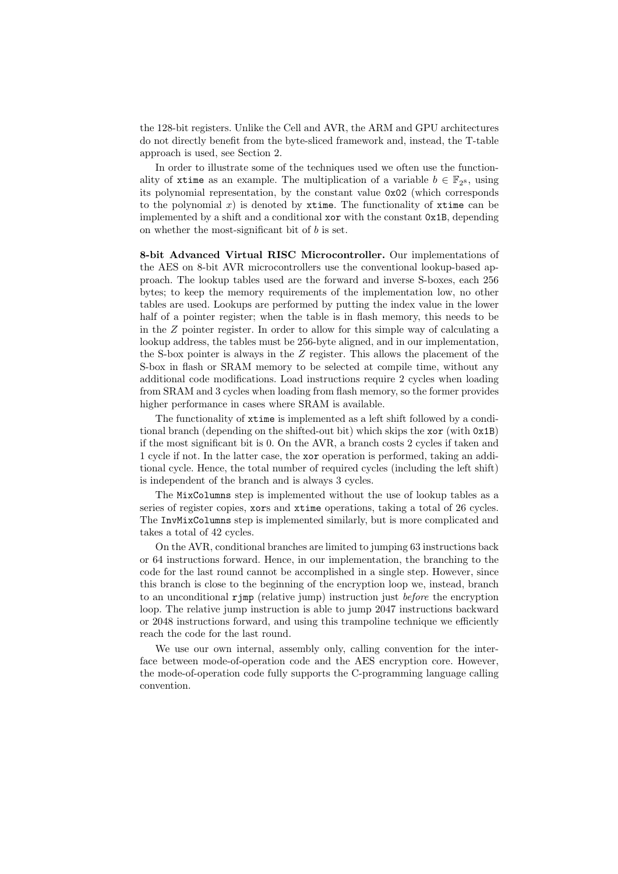the 128-bit registers. Unlike the Cell and AVR, the ARM and GPU architectures do not directly benefit from the byte-sliced framework and, instead, the T-table approach is used, see Section 2.

In order to illustrate some of the techniques used we often use the functionality of xtime as an example. The multiplication of a variable  $b \in \mathbb{F}_{2^8}$ , using its polynomial representation, by the constant value 0x02 (which corresponds to the polynomial  $x$ ) is denoted by xtime. The functionality of xtime can be implemented by a shift and a conditional  $\mathbf{x}$ or with the constant 0x1B, depending on whether the most-significant bit of  $b$  is set.

8-bit Advanced Virtual RISC Microcontroller. Our implementations of the AES on 8-bit AVR microcontrollers use the conventional lookup-based approach. The lookup tables used are the forward and inverse S-boxes, each 256 bytes; to keep the memory requirements of the implementation low, no other tables are used. Lookups are performed by putting the index value in the lower half of a pointer register; when the table is in flash memory, this needs to be in the Z pointer register. In order to allow for this simple way of calculating a lookup address, the tables must be 256-byte aligned, and in our implementation, the S-box pointer is always in the Z register. This allows the placement of the S-box in flash or SRAM memory to be selected at compile time, without any additional code modifications. Load instructions require 2 cycles when loading from SRAM and 3 cycles when loading from flash memory, so the former provides higher performance in cases where SRAM is available.

The functionality of xtime is implemented as a left shift followed by a conditional branch (depending on the shifted-out bit) which skips the xor (with 0x1B) if the most significant bit is 0. On the AVR, a branch costs 2 cycles if taken and 1 cycle if not. In the latter case, the xor operation is performed, taking an additional cycle. Hence, the total number of required cycles (including the left shift) is independent of the branch and is always 3 cycles.

The MixColumns step is implemented without the use of lookup tables as a series of register copies, xors and xtime operations, taking a total of 26 cycles. The InvMixColumns step is implemented similarly, but is more complicated and takes a total of 42 cycles.

On the AVR, conditional branches are limited to jumping 63 instructions back or 64 instructions forward. Hence, in our implementation, the branching to the code for the last round cannot be accomplished in a single step. However, since this branch is close to the beginning of the encryption loop we, instead, branch to an unconditional rjmp (relative jump) instruction just before the encryption loop. The relative jump instruction is able to jump 2047 instructions backward or 2048 instructions forward, and using this trampoline technique we efficiently reach the code for the last round.

We use our own internal, assembly only, calling convention for the interface between mode-of-operation code and the AES encryption core. However, the mode-of-operation code fully supports the C-programming language calling convention.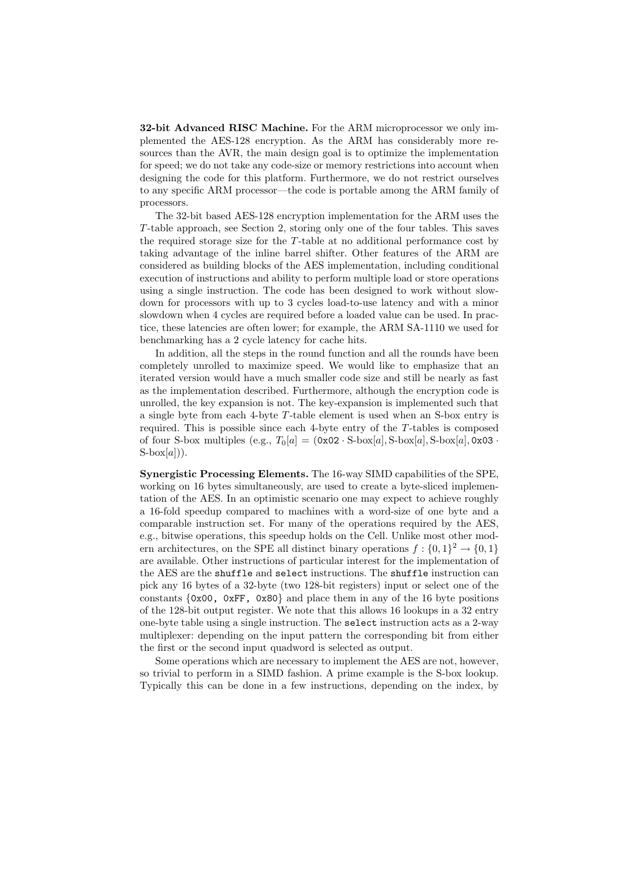32-bit Advanced RISC Machine. For the ARM microprocessor we only implemented the AES-128 encryption. As the ARM has considerably more resources than the AVR, the main design goal is to optimize the implementation for speed; we do not take any code-size or memory restrictions into account when designing the code for this platform. Furthermore, we do not restrict ourselves to any specific ARM processor—the code is portable among the ARM family of processors.

The 32-bit based AES-128 encryption implementation for the ARM uses the T-table approach, see Section 2, storing only one of the four tables. This saves the required storage size for the T-table at no additional performance cost by taking advantage of the inline barrel shifter. Other features of the ARM are considered as building blocks of the AES implementation, including conditional execution of instructions and ability to perform multiple load or store operations using a single instruction. The code has been designed to work without slowdown for processors with up to 3 cycles load-to-use latency and with a minor slowdown when 4 cycles are required before a loaded value can be used. In practice, these latencies are often lower; for example, the ARM SA-1110 we used for benchmarking has a 2 cycle latency for cache hits.

In addition, all the steps in the round function and all the rounds have been completely unrolled to maximize speed. We would like to emphasize that an iterated version would have a much smaller code size and still be nearly as fast as the implementation described. Furthermore, although the encryption code is unrolled, the key expansion is not. The key-expansion is implemented such that a single byte from each 4-byte T-table element is used when an S-box entry is required. This is possible since each 4-byte entry of the T-tables is composed of four S-box multiples (e.g.,  $T_0[a] = (0 \times 02 \cdot S \cdot b \cdot \text{ox}[a], S \cdot b \cdot \text{ox}[a], S \cdot b \cdot \text{ox}[a], 0 \times 03$  $S-box[a]$ ).

Synergistic Processing Elements. The 16-way SIMD capabilities of the SPE, working on 16 bytes simultaneously, are used to create a byte-sliced implementation of the AES. In an optimistic scenario one may expect to achieve roughly a 16-fold speedup compared to machines with a word-size of one byte and a comparable instruction set. For many of the operations required by the AES, e.g., bitwise operations, this speedup holds on the Cell. Unlike most other modern architectures, on the SPE all distinct binary operations  $f: \{0,1\}^2 \to \{0,1\}$ are available. Other instructions of particular interest for the implementation of the AES are the shuffle and select instructions. The shuffle instruction can pick any 16 bytes of a 32-byte (two 128-bit registers) input or select one of the constants  $\{0x00, 0xFF, 0x80\}$  and place them in any of the 16 byte positions of the 128-bit output register. We note that this allows 16 lookups in a 32 entry one-byte table using a single instruction. The select instruction acts as a 2-way multiplexer: depending on the input pattern the corresponding bit from either the first or the second input quadword is selected as output.

Some operations which are necessary to implement the AES are not, however, so trivial to perform in a SIMD fashion. A prime example is the S-box lookup. Typically this can be done in a few instructions, depending on the index, by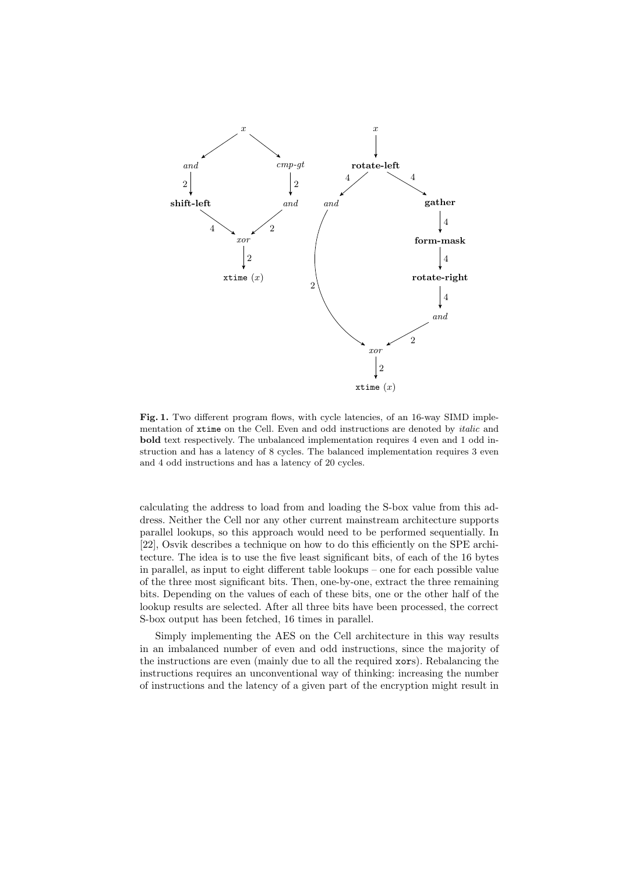

Fig. 1. Two different program flows, with cycle latencies, of an 16-way SIMD implementation of xtime on the Cell. Even and odd instructions are denoted by italic and bold text respectively. The unbalanced implementation requires 4 even and 1 odd instruction and has a latency of 8 cycles. The balanced implementation requires 3 even and 4 odd instructions and has a latency of 20 cycles.

calculating the address to load from and loading the S-box value from this address. Neither the Cell nor any other current mainstream architecture supports parallel lookups, so this approach would need to be performed sequentially. In [22], Osvik describes a technique on how to do this efficiently on the SPE architecture. The idea is to use the five least significant bits, of each of the 16 bytes in parallel, as input to eight different table lookups – one for each possible value of the three most significant bits. Then, one-by-one, extract the three remaining bits. Depending on the values of each of these bits, one or the other half of the lookup results are selected. After all three bits have been processed, the correct S-box output has been fetched, 16 times in parallel.

Simply implementing the AES on the Cell architecture in this way results in an imbalanced number of even and odd instructions, since the majority of the instructions are even (mainly due to all the required xors). Rebalancing the instructions requires an unconventional way of thinking: increasing the number of instructions and the latency of a given part of the encryption might result in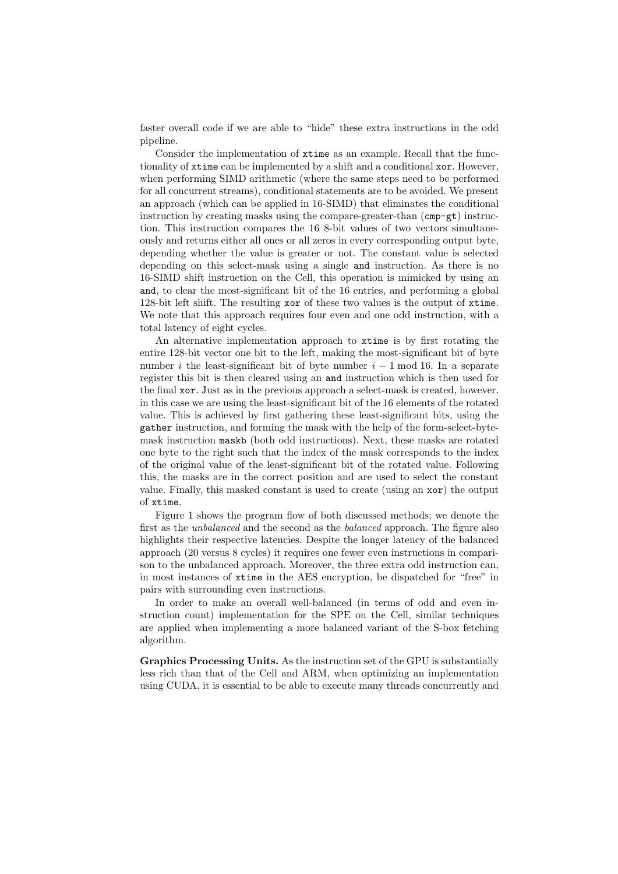faster overall code if we are able to "hide" these extra instructions in the odd pipeline.

Consider the implementation of xtime as an example. Recall that the functionality of xtime can be implemented by a shift and a conditional xor. However, when performing SIMD arithmetic (where the same steps need to be performed for all concurrent streams), conditional statements are to be avoided. We present an approach (which can be applied in 16-SIMD) that eliminates the conditional instruction by creating masks using the compare-greater-than  $(\text{cmp-gt})$  instruction. This instruction compares the 16 8-bit values of two vectors simultaneously and returns either all ones or all zeros in every corresponding output byte, depending whether the value is greater or not. The constant value is selected depending on this select-mask using a single and instruction. As there is no 16-SIMD shift instruction on the Cell, this operation is mimicked by using an and, to clear the most-significant bit of the 16 entries, and performing a global 128-bit left shift. The resulting xor of these two values is the output of xtime. We note that this approach requires four even and one odd instruction, with a total latency of eight cycles.

An alternative implementation approach to xtime is by first rotating the entire 128-bit vector one bit to the left, making the most-significant bit of byte number i the least-significant bit of byte number  $i - 1$  mod 16. In a separate register this bit is then cleared using an and instruction which is then used for the final xor. Just as in the previous approach a select-mask is created, however, in this case we are using the least-significant bit of the 16 elements of the rotated value. This is achieved by first gathering these least-significant bits, using the gather instruction, and forming the mask with the help of the form-select-bytemask instruction maskb (both odd instructions). Next, these masks are rotated one byte to the right such that the index of the mask corresponds to the index of the original value of the least-significant bit of the rotated value. Following this, the masks are in the correct position and are used to select the constant value. Finally, this masked constant is used to create (using an xor) the output of xtime.

Figure 1 shows the program flow of both discussed methods; we denote the first as the *unbalanced* and the second as the *balanced* approach. The figure also highlights their respective latencies. Despite the longer latency of the balanced approach (20 versus 8 cycles) it requires one fewer even instructions in comparison to the unbalanced approach. Moreover, the three extra odd instruction can, in most instances of xtime in the AES encryption, be dispatched for "free" in pairs with surrounding even instructions.

In order to make an overall well-balanced (in terms of odd and even instruction count) implementation for the SPE on the Cell, similar techniques are applied when implementing a more balanced variant of the S-box fetching algorithm.

Graphics Processing Units. As the instruction set of the GPU is substantially less rich than that of the Cell and ARM, when optimizing an implementation using CUDA, it is essential to be able to execute many threads concurrently and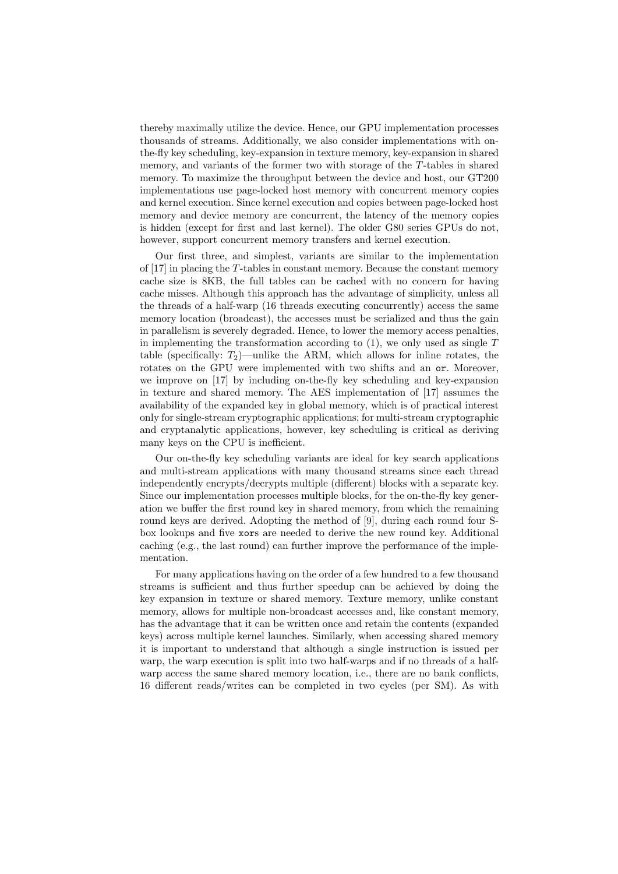thereby maximally utilize the device. Hence, our GPU implementation processes thousands of streams. Additionally, we also consider implementations with onthe-fly key scheduling, key-expansion in texture memory, key-expansion in shared memory, and variants of the former two with storage of the T-tables in shared memory. To maximize the throughput between the device and host, our GT200 implementations use page-locked host memory with concurrent memory copies and kernel execution. Since kernel execution and copies between page-locked host memory and device memory are concurrent, the latency of the memory copies is hidden (except for first and last kernel). The older G80 series GPUs do not, however, support concurrent memory transfers and kernel execution.

Our first three, and simplest, variants are similar to the implementation of [17] in placing the T-tables in constant memory. Because the constant memory cache size is 8KB, the full tables can be cached with no concern for having cache misses. Although this approach has the advantage of simplicity, unless all the threads of a half-warp (16 threads executing concurrently) access the same memory location (broadcast), the accesses must be serialized and thus the gain in parallelism is severely degraded. Hence, to lower the memory access penalties, in implementing the transformation according to  $(1)$ , we only used as single T table (specifically:  $T_2$ )—unlike the ARM, which allows for inline rotates, the rotates on the GPU were implemented with two shifts and an or. Moreover, we improve on [17] by including on-the-fly key scheduling and key-expansion in texture and shared memory. The AES implementation of [17] assumes the availability of the expanded key in global memory, which is of practical interest only for single-stream cryptographic applications; for multi-stream cryptographic and cryptanalytic applications, however, key scheduling is critical as deriving many keys on the CPU is inefficient.

Our on-the-fly key scheduling variants are ideal for key search applications and multi-stream applications with many thousand streams since each thread independently encrypts/decrypts multiple (different) blocks with a separate key. Since our implementation processes multiple blocks, for the on-the-fly key generation we buffer the first round key in shared memory, from which the remaining round keys are derived. Adopting the method of [9], during each round four Sbox lookups and five xors are needed to derive the new round key. Additional caching (e.g., the last round) can further improve the performance of the implementation.

For many applications having on the order of a few hundred to a few thousand streams is sufficient and thus further speedup can be achieved by doing the key expansion in texture or shared memory. Texture memory, unlike constant memory, allows for multiple non-broadcast accesses and, like constant memory, has the advantage that it can be written once and retain the contents (expanded keys) across multiple kernel launches. Similarly, when accessing shared memory it is important to understand that although a single instruction is issued per warp, the warp execution is split into two half-warps and if no threads of a halfwarp access the same shared memory location, i.e., there are no bank conflicts, 16 different reads/writes can be completed in two cycles (per SM). As with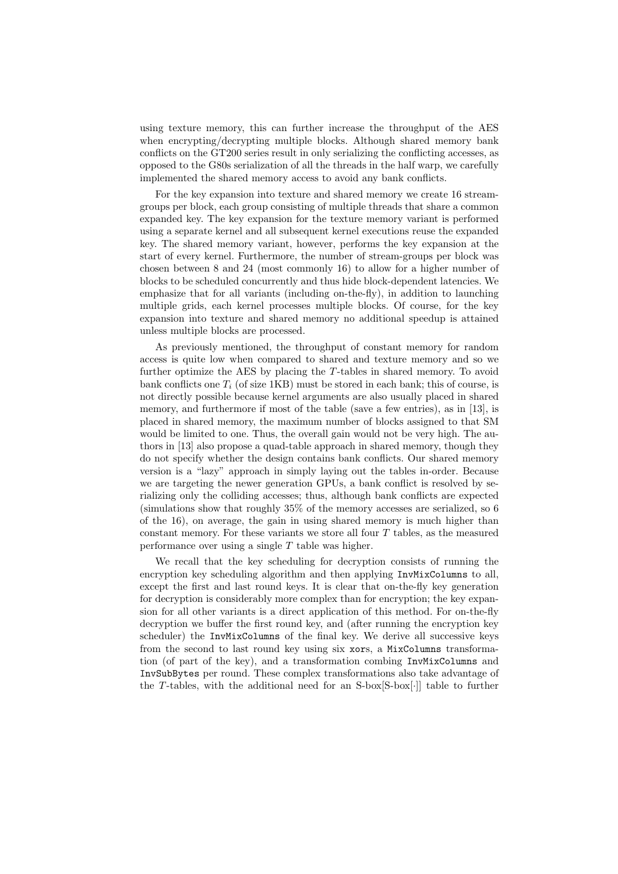using texture memory, this can further increase the throughput of the AES when encrypting/decrypting multiple blocks. Although shared memory bank conflicts on the GT200 series result in only serializing the conflicting accesses, as opposed to the G80s serialization of all the threads in the half warp, we carefully implemented the shared memory access to avoid any bank conflicts.

For the key expansion into texture and shared memory we create 16 streamgroups per block, each group consisting of multiple threads that share a common expanded key. The key expansion for the texture memory variant is performed using a separate kernel and all subsequent kernel executions reuse the expanded key. The shared memory variant, however, performs the key expansion at the start of every kernel. Furthermore, the number of stream-groups per block was chosen between 8 and 24 (most commonly 16) to allow for a higher number of blocks to be scheduled concurrently and thus hide block-dependent latencies. We emphasize that for all variants (including on-the-fly), in addition to launching multiple grids, each kernel processes multiple blocks. Of course, for the key expansion into texture and shared memory no additional speedup is attained unless multiple blocks are processed.

As previously mentioned, the throughput of constant memory for random access is quite low when compared to shared and texture memory and so we further optimize the AES by placing the T-tables in shared memory. To avoid bank conflicts one  $T_i$  (of size 1KB) must be stored in each bank; this of course, is not directly possible because kernel arguments are also usually placed in shared memory, and furthermore if most of the table (save a few entries), as in [13], is placed in shared memory, the maximum number of blocks assigned to that SM would be limited to one. Thus, the overall gain would not be very high. The authors in [13] also propose a quad-table approach in shared memory, though they do not specify whether the design contains bank conflicts. Our shared memory version is a "lazy" approach in simply laying out the tables in-order. Because we are targeting the newer generation GPUs, a bank conflict is resolved by serializing only the colliding accesses; thus, although bank conflicts are expected (simulations show that roughly 35% of the memory accesses are serialized, so 6 of the 16), on average, the gain in using shared memory is much higher than constant memory. For these variants we store all four  $T$  tables, as the measured performance over using a single  $T$  table was higher.

We recall that the key scheduling for decryption consists of running the encryption key scheduling algorithm and then applying InvMixColumns to all, except the first and last round keys. It is clear that on-the-fly key generation for decryption is considerably more complex than for encryption; the key expansion for all other variants is a direct application of this method. For on-the-fly decryption we buffer the first round key, and (after running the encryption key scheduler) the InvMixColumns of the final key. We derive all successive keys from the second to last round key using six xors, a MixColumns transformation (of part of the key), and a transformation combing InvMixColumns and InvSubBytes per round. These complex transformations also take advantage of the T-tables, with the additional need for an S-box[S-box[·]] table to further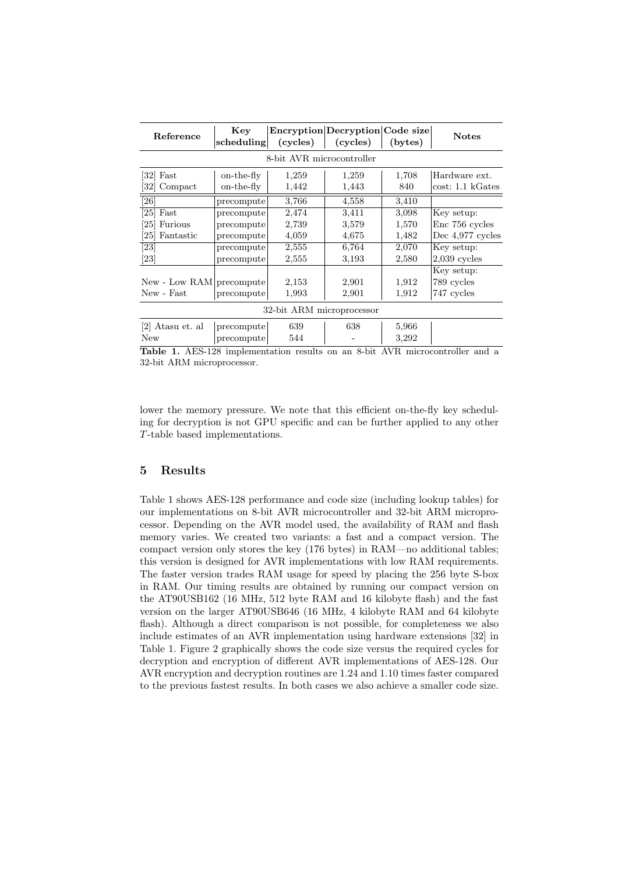| Reference                              | Key<br>scheduling        | (cycles)       | Encryption Decryption Code size<br>(cycles) | (bytes)        | <b>Notes</b>                           |  |  |  |  |
|----------------------------------------|--------------------------|----------------|---------------------------------------------|----------------|----------------------------------------|--|--|--|--|
| 8-bit AVR microcontroller              |                          |                |                                             |                |                                        |  |  |  |  |
| $[32]$ Fast<br>[32] Compact            | on-the-fly<br>on-the-fly | 1,259<br>1,442 | 1,259<br>1,443                              | 1,708<br>840   | Hardware ext.<br>$cost: 1.1$ kGates    |  |  |  |  |
| [26]                                   | precompute               | 3,766          | 4,558                                       | 3,410          |                                        |  |  |  |  |
| $ 25 $ Fast<br>[25] Furious            | precompute<br>precompute | 2,474<br>2,739 | 3,411<br>3,579                              | 3,098<br>1,570 | Key setup:<br>Enc 756 cycles           |  |  |  |  |
| [25] Fantastic                         | precompute               | 4,059          | 4,675                                       | 1,482          | Dec $4,977$ cycles                     |  |  |  |  |
| [23]<br> 23                            | precompute<br>precompute | 2,555<br>2,555 | 6,764<br>3,193                              | 2,070<br>2,580 | Key setup:<br>$2,039$ cycles           |  |  |  |  |
| New - Low RAM precompute<br>New - Fast | precompute               | 2,153<br>1,993 | 2,901<br>2,901                              | 1,912<br>1,912 | Key setup:<br>789 cycles<br>747 cycles |  |  |  |  |
| 32-bit ARM microprocessor              |                          |                |                                             |                |                                        |  |  |  |  |
| 2 Atasu et. al<br>New                  | precompute<br>precompute | 639<br>544     | 638                                         | 5,966<br>3,292 |                                        |  |  |  |  |

Table 1. AES-128 implementation results on an 8-bit AVR microcontroller and a 32-bit ARM microprocessor.

lower the memory pressure. We note that this efficient on-the-fly key scheduling for decryption is not GPU specific and can be further applied to any other T-table based implementations.

# 5 Results

Table 1 shows AES-128 performance and code size (including lookup tables) for our implementations on 8-bit AVR microcontroller and 32-bit ARM microprocessor. Depending on the AVR model used, the availability of RAM and flash memory varies. We created two variants: a fast and a compact version. The compact version only stores the key (176 bytes) in RAM—no additional tables; this version is designed for AVR implementations with low RAM requirements. The faster version trades RAM usage for speed by placing the 256 byte S-box in RAM. Our timing results are obtained by running our compact version on the AT90USB162 (16 MHz, 512 byte RAM and 16 kilobyte flash) and the fast version on the larger AT90USB646 (16 MHz, 4 kilobyte RAM and 64 kilobyte flash). Although a direct comparison is not possible, for completeness we also include estimates of an AVR implementation using hardware extensions [32] in Table 1. Figure 2 graphically shows the code size versus the required cycles for decryption and encryption of different AVR implementations of AES-128. Our AVR encryption and decryption routines are 1.24 and 1.10 times faster compared to the previous fastest results. In both cases we also achieve a smaller code size.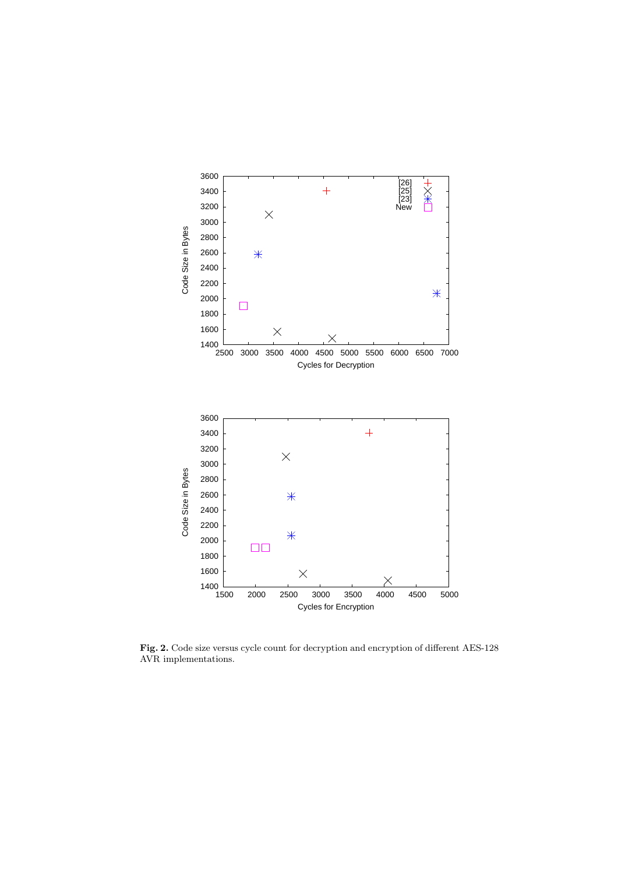

Fig. 2. Code size versus cycle count for decryption and encryption of different AES-128 AVR implementations.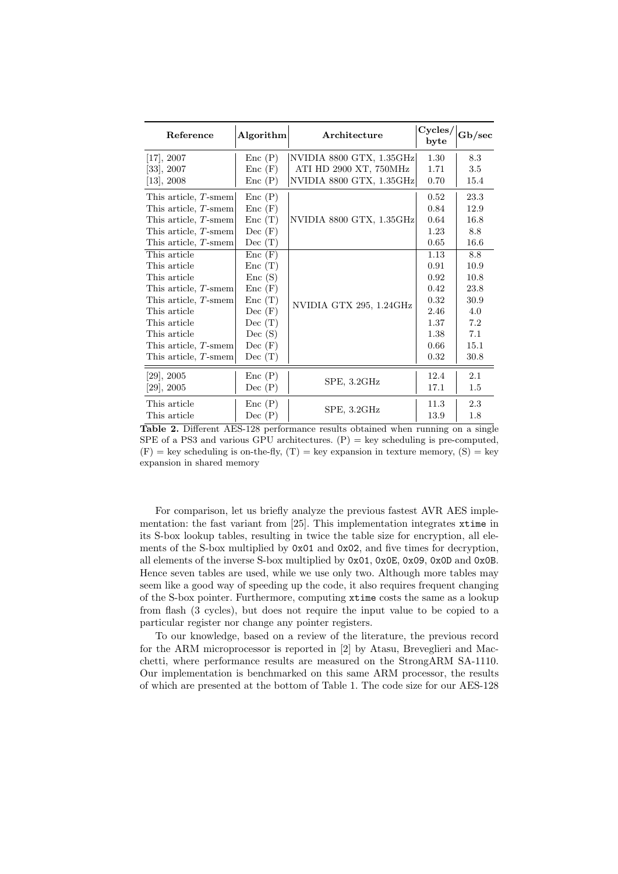| Reference            | Algorithm | Architecture             | $\mathrm{Cycles}/\mathrm{Gb/sec}$<br>byte |      |
|----------------------|-----------|--------------------------|-------------------------------------------|------|
| [17], 2007           | Enc(P)    | NVIDIA 8800 GTX, 1.35GHz | 1.30                                      | 8.3  |
| [33], 2007           | Enc(F)    | ATI HD 2900 XT, 750MHz   | 1.71                                      | 3.5  |
| [13], 2008           | Enc(P)    | NVIDIA 8800 GTX, 1.35GHz | 0.70                                      | 15.4 |
| This article, T-smem | Enc(P)    |                          | 0.52                                      | 23.3 |
| This article, T-smem | Enc(F)    |                          | 0.84                                      | 12.9 |
| This article, T-smem | Enc(T)    | NVIDIA 8800 GTX, 1.35GHz | 0.64                                      | 16.8 |
| This article, T-smem | Dec(F)    |                          | 1.23                                      | 8.8  |
| This article, T-smem | Dec(T)    |                          | 0.65                                      | 16.6 |
| This article         | Enc(F)    |                          | 1.13                                      | 8.8  |
| This article         | Enc(T)    |                          | 0.91                                      | 10.9 |
| This article         | Enc(S)    |                          | 0.92                                      | 10.8 |
| This article, T-smem | Enc(F)    |                          | 0.42                                      | 23.8 |
| This article, T-smem | Enc(T)    | NVIDIA GTX 295, 1.24GHz  | 0.32                                      | 30.9 |
| This article         | Dec(F)    |                          | 2.46                                      | 4.0  |
| This article         | Dec(T)    |                          | 1.37                                      | 7.2  |
| This article         | Dec(S)    |                          | 1.38                                      | 7.1  |
| This article, T-smem | Dec(F)    |                          | 0.66                                      | 15.1 |
| This article, T-smem | Dec(T)    |                          | 0.32                                      | 30.8 |
| [29], 2005           | Enc(P)    |                          | 12.4                                      | 2.1  |
| [29], 2005           | Dec(P)    | SPE, 3.2GHz              | 17.1                                      | 1.5  |
| This article         | Enc(P)    | SPE, 3.2GHz              | 11.3                                      | 2.3  |
| This article         | Dec(P)    |                          | 13.9                                      | 1.8  |

Table 2. Different AES-128 performance results obtained when running on a single SPE of a PS3 and various GPU architectures.  $(P) = \text{key scheduling is pre-computed},$  $(F)$  = key scheduling is on-the-fly,  $(T)$  = key expansion in texture memory,  $(S)$  = key expansion in shared memory

For comparison, let us briefly analyze the previous fastest AVR AES implementation: the fast variant from [25]. This implementation integrates xtime in its S-box lookup tables, resulting in twice the table size for encryption, all elements of the S-box multiplied by 0x01 and 0x02, and five times for decryption, all elements of the inverse S-box multiplied by 0x01, 0x0E, 0x09, 0x0D and 0x0B. Hence seven tables are used, while we use only two. Although more tables may seem like a good way of speeding up the code, it also requires frequent changing of the S-box pointer. Furthermore, computing xtime costs the same as a lookup from flash (3 cycles), but does not require the input value to be copied to a particular register nor change any pointer registers.

To our knowledge, based on a review of the literature, the previous record for the ARM microprocessor is reported in [2] by Atasu, Breveglieri and Macchetti, where performance results are measured on the StrongARM SA-1110. Our implementation is benchmarked on this same ARM processor, the results of which are presented at the bottom of Table 1. The code size for our AES-128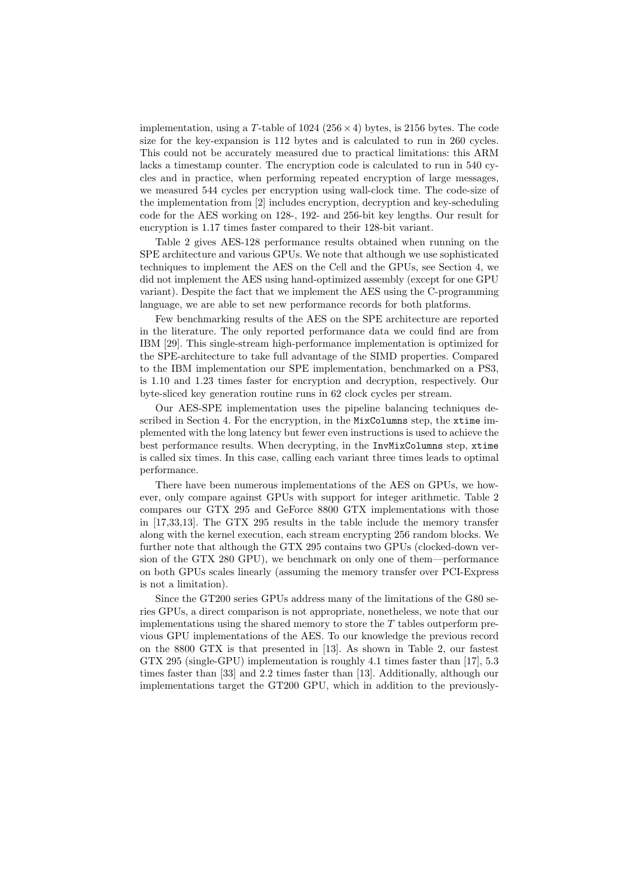implementation, using a T-table of  $1024$  ( $256 \times 4$ ) bytes, is 2156 bytes. The code size for the key-expansion is 112 bytes and is calculated to run in 260 cycles. This could not be accurately measured due to practical limitations: this ARM lacks a timestamp counter. The encryption code is calculated to run in 540 cycles and in practice, when performing repeated encryption of large messages, we measured 544 cycles per encryption using wall-clock time. The code-size of the implementation from [2] includes encryption, decryption and key-scheduling code for the AES working on 128-, 192- and 256-bit key lengths. Our result for encryption is 1.17 times faster compared to their 128-bit variant.

Table 2 gives AES-128 performance results obtained when running on the SPE architecture and various GPUs. We note that although we use sophisticated techniques to implement the AES on the Cell and the GPUs, see Section 4, we did not implement the AES using hand-optimized assembly (except for one GPU variant). Despite the fact that we implement the AES using the C-programming language, we are able to set new performance records for both platforms.

Few benchmarking results of the AES on the SPE architecture are reported in the literature. The only reported performance data we could find are from IBM [29]. This single-stream high-performance implementation is optimized for the SPE-architecture to take full advantage of the SIMD properties. Compared to the IBM implementation our SPE implementation, benchmarked on a PS3, is 1.10 and 1.23 times faster for encryption and decryption, respectively. Our byte-sliced key generation routine runs in 62 clock cycles per stream.

Our AES-SPE implementation uses the pipeline balancing techniques described in Section 4. For the encryption, in the MixColumns step, the xtime implemented with the long latency but fewer even instructions is used to achieve the best performance results. When decrypting, in the InvMixColumns step, xtime is called six times. In this case, calling each variant three times leads to optimal performance.

There have been numerous implementations of the AES on GPUs, we however, only compare against GPUs with support for integer arithmetic. Table 2 compares our GTX 295 and GeForce 8800 GTX implementations with those in [17,33,13]. The GTX 295 results in the table include the memory transfer along with the kernel execution, each stream encrypting 256 random blocks. We further note that although the GTX 295 contains two GPUs (clocked-down version of the GTX 280 GPU), we benchmark on only one of them—performance on both GPUs scales linearly (assuming the memory transfer over PCI-Express is not a limitation).

Since the GT200 series GPUs address many of the limitations of the G80 series GPUs, a direct comparison is not appropriate, nonetheless, we note that our implementations using the shared memory to store the  $T$  tables outperform previous GPU implementations of the AES. To our knowledge the previous record on the 8800 GTX is that presented in [13]. As shown in Table 2, our fastest GTX 295 (single-GPU) implementation is roughly 4.1 times faster than [17], 5.3 times faster than [33] and 2.2 times faster than [13]. Additionally, although our implementations target the GT200 GPU, which in addition to the previously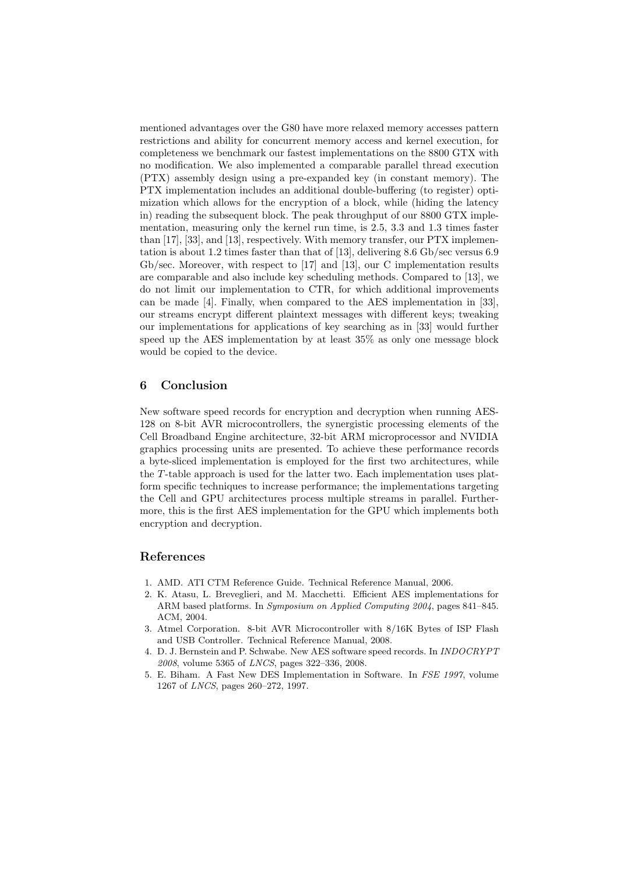mentioned advantages over the G80 have more relaxed memory accesses pattern restrictions and ability for concurrent memory access and kernel execution, for completeness we benchmark our fastest implementations on the 8800 GTX with no modification. We also implemented a comparable parallel thread execution (PTX) assembly design using a pre-expanded key (in constant memory). The PTX implementation includes an additional double-buffering (to register) optimization which allows for the encryption of a block, while (hiding the latency in) reading the subsequent block. The peak throughput of our 8800 GTX implementation, measuring only the kernel run time, is 2.5, 3.3 and 1.3 times faster than [17], [33], and [13], respectively. With memory transfer, our PTX implementation is about 1.2 times faster than that of [13], delivering 8.6 Gb/sec versus 6.9 Gb/sec. Moreover, with respect to [17] and [13], our C implementation results are comparable and also include key scheduling methods. Compared to [13], we do not limit our implementation to CTR, for which additional improvements can be made [4]. Finally, when compared to the AES implementation in [33], our streams encrypt different plaintext messages with different keys; tweaking our implementations for applications of key searching as in [33] would further speed up the AES implementation by at least 35% as only one message block would be copied to the device.

### 6 Conclusion

New software speed records for encryption and decryption when running AES-128 on 8-bit AVR microcontrollers, the synergistic processing elements of the Cell Broadband Engine architecture, 32-bit ARM microprocessor and NVIDIA graphics processing units are presented. To achieve these performance records a byte-sliced implementation is employed for the first two architectures, while the T-table approach is used for the latter two. Each implementation uses platform specific techniques to increase performance; the implementations targeting the Cell and GPU architectures process multiple streams in parallel. Furthermore, this is the first AES implementation for the GPU which implements both encryption and decryption.

#### References

- 1. AMD. ATI CTM Reference Guide. Technical Reference Manual, 2006.
- 2. K. Atasu, L. Breveglieri, and M. Macchetti. Efficient AES implementations for ARM based platforms. In Symposium on Applied Computing 2004, pages 841–845. ACM, 2004.
- 3. Atmel Corporation. 8-bit AVR Microcontroller with 8/16K Bytes of ISP Flash and USB Controller. Technical Reference Manual, 2008.
- 4. D. J. Bernstein and P. Schwabe. New AES software speed records. In INDOCRYPT 2008, volume 5365 of LNCS, pages 322–336, 2008.
- 5. E. Biham. A Fast New DES Implementation in Software. In FSE 1997, volume 1267 of LNCS, pages 260–272, 1997.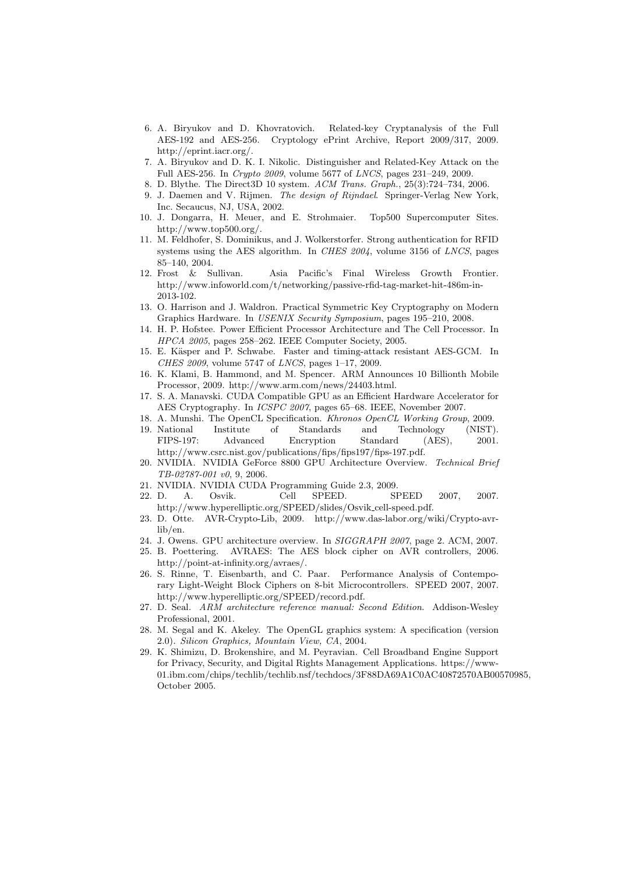- 6. A. Biryukov and D. Khovratovich. Related-key Cryptanalysis of the Full AES-192 and AES-256. Cryptology ePrint Archive, Report 2009/317, 2009. http://eprint.iacr.org/.
- 7. A. Biryukov and D. K. I. Nikolic. Distinguisher and Related-Key Attack on the Full AES-256. In Crypto 2009, volume 5677 of LNCS, pages 231–249, 2009.
- 8. D. Blythe. The Direct3D 10 system. ACM Trans. Graph., 25(3):724–734, 2006.
- 9. J. Daemen and V. Rijmen. The design of Rijndael. Springer-Verlag New York, Inc. Secaucus, NJ, USA, 2002.
- 10. J. Dongarra, H. Meuer, and E. Strohmaier. Top500 Supercomputer Sites. http://www.top500.org/.
- 11. M. Feldhofer, S. Dominikus, and J. Wolkerstorfer. Strong authentication for RFID systems using the AES algorithm. In CHES 2004, volume 3156 of LNCS, pages 85–140, 2004.
- 12. Frost & Sullivan. Asia Pacific's Final Wireless Growth Frontier. http://www.infoworld.com/t/networking/passive-rfid-tag-market-hit-486m-in-2013-102.
- 13. O. Harrison and J. Waldron. Practical Symmetric Key Cryptography on Modern Graphics Hardware. In USENIX Security Symposium, pages 195–210, 2008.
- 14. H. P. Hofstee. Power Efficient Processor Architecture and The Cell Processor. In HPCA 2005, pages 258–262. IEEE Computer Society, 2005.
- 15. E. Käsper and P. Schwabe. Faster and timing-attack resistant AES-GCM. In CHES 2009, volume 5747 of LNCS, pages 1–17, 2009.
- 16. K. Klami, B. Hammond, and M. Spencer. ARM Announces 10 Billionth Mobile Processor, 2009. http://www.arm.com/news/24403.html.
- 17. S. A. Manavski. CUDA Compatible GPU as an Efficient Hardware Accelerator for AES Cryptography. In ICSPC 2007, pages 65–68. IEEE, November 2007.
- 18. A. Munshi. The OpenCL Specification. Khronos OpenCL Working Group, 2009.
- 19. National Institute of Standards and Technology (NIST). FIPS-197: Advanced Encryption Standard (AES), 2001. http://www.csrc.nist.gov/publications/fips/fips197/fips-197.pdf.
- 20. NVIDIA. NVIDIA GeForce 8800 GPU Architecture Overview. Technical Brief TB-02787-001 v0, 9, 2006.
- 21. NVIDIA. NVIDIA CUDA Programming Guide 2.3, 2009.
- 22. D. A. Osvik. Cell SPEED. SPEED 2007, 2007. http://www.hyperelliptic.org/SPEED/slides/Osvik cell-speed.pdf.
- 23. D. Otte. AVR-Crypto-Lib, 2009. http://www.das-labor.org/wiki/Crypto-avrlib/en.
- 24. J. Owens. GPU architecture overview. In SIGGRAPH 2007, page 2. ACM, 2007.
- 25. B. Poettering. AVRAES: The AES block cipher on AVR controllers, 2006. http://point-at-infinity.org/avraes/.
- 26. S. Rinne, T. Eisenbarth, and C. Paar. Performance Analysis of Contemporary Light-Weight Block Ciphers on 8-bit Microcontrollers. SPEED 2007, 2007. http://www.hyperelliptic.org/SPEED/record.pdf.
- 27. D. Seal. ARM architecture reference manual: Second Edition. Addison-Wesley Professional, 2001.
- 28. M. Segal and K. Akeley. The OpenGL graphics system: A specification (version 2.0). Silicon Graphics, Mountain View, CA, 2004.
- 29. K. Shimizu, D. Brokenshire, and M. Peyravian. Cell Broadband Engine Support for Privacy, Security, and Digital Rights Management Applications. https://www-01.ibm.com/chips/techlib/techlib.nsf/techdocs/3F88DA69A1C0AC40872570AB00570985, October 2005.